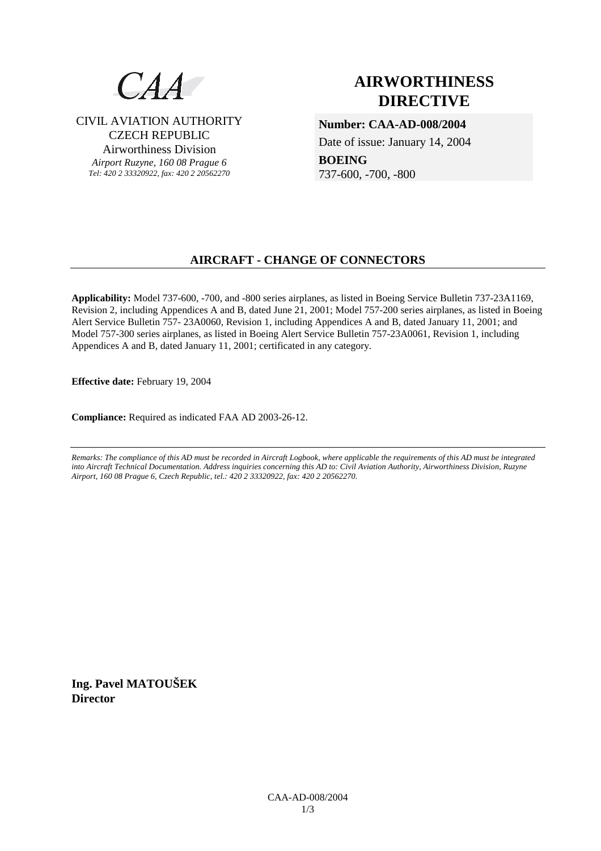

CIVIL AVIATION AUTHORITY CZECH REPUBLIC Airworthiness Division

*Airport Ruzyne, 160 08 Prague 6 Tel: 420 2 33320922, fax: 420 2 20562270*

# **AIRWORTHINESS DIRECTIVE**

**Number: CAA-AD-008/2004** 

Date of issue: January 14, 2004

**BOEING**  737-600, -700, -800

# **AIRCRAFT - CHANGE OF CONNECTORS**

**Applicability:** Model 737-600, -700, and -800 series airplanes, as listed in Boeing Service Bulletin 737-23A1169, Revision 2, including Appendices A and B, dated June 21, 2001; Model 757-200 series airplanes, as listed in Boeing Alert Service Bulletin 757- 23A0060, Revision 1, including Appendices A and B, dated January 11, 2001; and Model 757-300 series airplanes, as listed in Boeing Alert Service Bulletin 757-23A0061, Revision 1, including Appendices A and B, dated January 11, 2001; certificated in any category.

**Effective date:** February 19, 2004

**Compliance:** Required as indicated FAA AD 2003-26-12.

*Remarks: The compliance of this AD must be recorded in Aircraft Logbook, where applicable the requirements of this AD must be integrated into Aircraft Technical Documentation. Address inquiries concerning this AD to: Civil Aviation Authority, Airworthiness Division, Ruzyne Airport, 160 08 Prague 6, Czech Republic, tel.: 420 2 33320922, fax: 420 2 20562270.* 

**Ing. Pavel MATOUŠEK Director**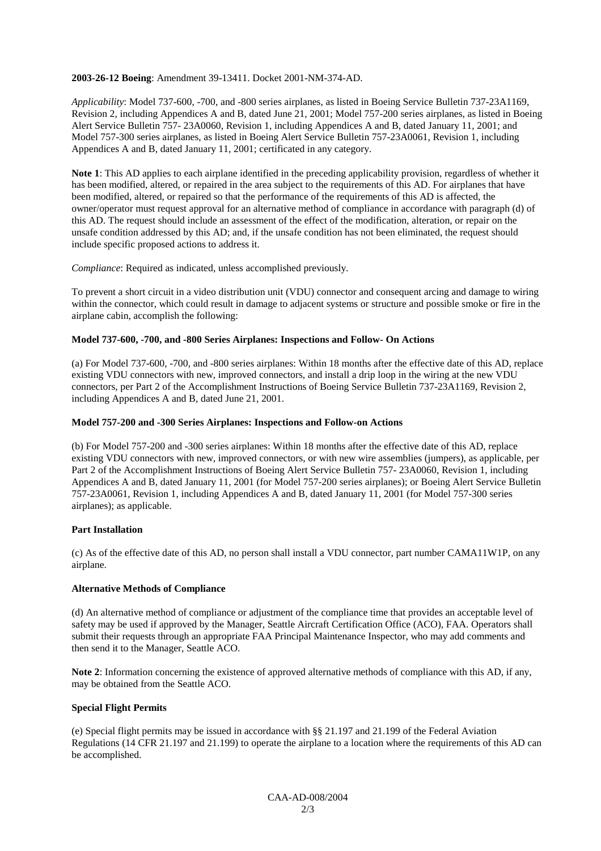#### **2003-26-12 Boeing**: Amendment 39-13411. Docket 2001-NM-374-AD.

*Applicability*: Model 737-600, -700, and -800 series airplanes, as listed in Boeing Service Bulletin 737-23A1169, Revision 2, including Appendices A and B, dated June 21, 2001; Model 757-200 series airplanes, as listed in Boeing Alert Service Bulletin 757- 23A0060, Revision 1, including Appendices A and B, dated January 11, 2001; and Model 757-300 series airplanes, as listed in Boeing Alert Service Bulletin 757-23A0061, Revision 1, including Appendices A and B, dated January 11, 2001; certificated in any category.

**Note 1**: This AD applies to each airplane identified in the preceding applicability provision, regardless of whether it has been modified, altered, or repaired in the area subject to the requirements of this AD. For airplanes that have been modified, altered, or repaired so that the performance of the requirements of this AD is affected, the owner/operator must request approval for an alternative method of compliance in accordance with paragraph (d) of this AD. The request should include an assessment of the effect of the modification, alteration, or repair on the unsafe condition addressed by this AD; and, if the unsafe condition has not been eliminated, the request should include specific proposed actions to address it.

*Compliance*: Required as indicated, unless accomplished previously.

To prevent a short circuit in a video distribution unit (VDU) connector and consequent arcing and damage to wiring within the connector, which could result in damage to adjacent systems or structure and possible smoke or fire in the airplane cabin, accomplish the following:

#### **Model 737-600, -700, and -800 Series Airplanes: Inspections and Follow- On Actions**

(a) For Model 737-600, -700, and -800 series airplanes: Within 18 months after the effective date of this AD, replace existing VDU connectors with new, improved connectors, and install a drip loop in the wiring at the new VDU connectors, per Part 2 of the Accomplishment Instructions of Boeing Service Bulletin 737-23A1169, Revision 2, including Appendices A and B, dated June 21, 2001.

#### **Model 757-200 and -300 Series Airplanes: Inspections and Follow-on Actions**

(b) For Model 757-200 and -300 series airplanes: Within 18 months after the effective date of this AD, replace existing VDU connectors with new, improved connectors, or with new wire assemblies (jumpers), as applicable, per Part 2 of the Accomplishment Instructions of Boeing Alert Service Bulletin 757- 23A0060, Revision 1, including Appendices A and B, dated January 11, 2001 (for Model 757-200 series airplanes); or Boeing Alert Service Bulletin 757-23A0061, Revision 1, including Appendices A and B, dated January 11, 2001 (for Model 757-300 series airplanes); as applicable.

#### **Part Installation**

(c) As of the effective date of this AD, no person shall install a VDU connector, part number CAMA11W1P, on any airplane.

#### **Alternative Methods of Compliance**

(d) An alternative method of compliance or adjustment of the compliance time that provides an acceptable level of safety may be used if approved by the Manager, Seattle Aircraft Certification Office (ACO), FAA. Operators shall submit their requests through an appropriate FAA Principal Maintenance Inspector, who may add comments and then send it to the Manager, Seattle ACO.

**Note 2**: Information concerning the existence of approved alternative methods of compliance with this AD, if any, may be obtained from the Seattle ACO.

## **Special Flight Permits**

(e) Special flight permits may be issued in accordance with §§ 21.197 and 21.199 of the Federal Aviation Regulations (14 CFR 21.197 and 21.199) to operate the airplane to a location where the requirements of this AD can be accomplished.